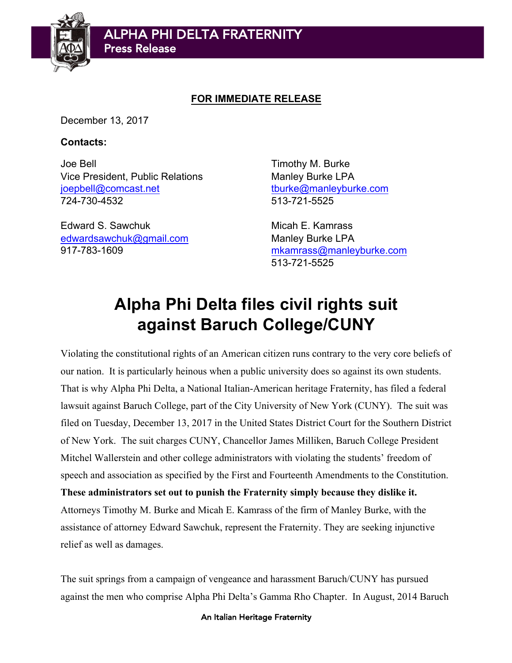

## **FOR IMMEDIATE RELEASE**

December 13, 2017

## **Contacts:**

Joe Bell Timothy M. Burke Vice President, Public Relations Manley Burke LPA joepbell@comcast.net tburke@manleyburke.com 724-730-4532 513-721-5525

Edward S. Sawchuk **Micah E. Kamrass** edwardsawchuk@gmail.com Manley Burke LPA

917-783-1609 mkamrass@manleyburke.com 513-721-5525

## **Alpha Phi Delta files civil rights suit against Baruch College/CUNY**

Violating the constitutional rights of an American citizen runs contrary to the very core beliefs of our nation. It is particularly heinous when a public university does so against its own students. That is why Alpha Phi Delta, a National Italian-American heritage Fraternity, has filed a federal lawsuit against Baruch College, part of the City University of New York (CUNY). The suit was filed on Tuesday, December 13, 2017 in the United States District Court for the Southern District of New York. The suit charges CUNY, Chancellor James Milliken, Baruch College President Mitchel Wallerstein and other college administrators with violating the students' freedom of speech and association as specified by the First and Fourteenth Amendments to the Constitution.

**These administrators set out to punish the Fraternity simply because they dislike it.** Attorneys Timothy M. Burke and Micah E. Kamrass of the firm of Manley Burke, with the assistance of attorney Edward Sawchuk, represent the Fraternity. They are seeking injunctive relief as well as damages.

The suit springs from a campaign of vengeance and harassment Baruch/CUNY has pursued against the men who comprise Alpha Phi Delta's Gamma Rho Chapter. In August, 2014 Baruch

An Italian Heritage Fraternity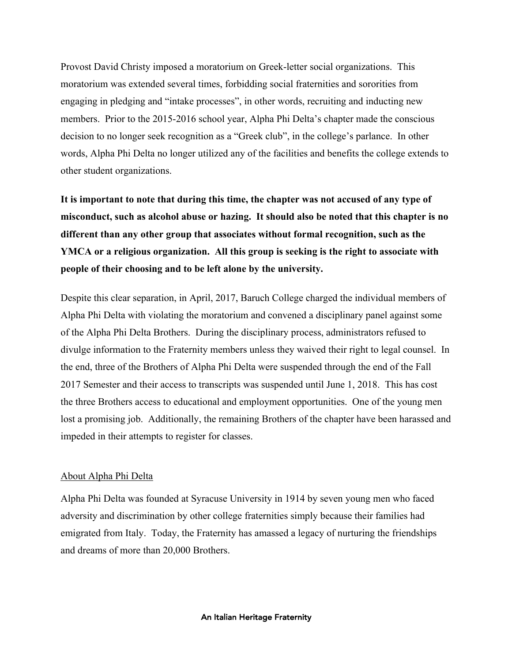Provost David Christy imposed a moratorium on Greek-letter social organizations. This moratorium was extended several times, forbidding social fraternities and sororities from engaging in pledging and "intake processes", in other words, recruiting and inducting new members. Prior to the 2015-2016 school year, Alpha Phi Delta's chapter made the conscious decision to no longer seek recognition as a "Greek club", in the college's parlance. In other words, Alpha Phi Delta no longer utilized any of the facilities and benefits the college extends to other student organizations.

**It is important to note that during this time, the chapter was not accused of any type of misconduct, such as alcohol abuse or hazing. It should also be noted that this chapter is no different than any other group that associates without formal recognition, such as the YMCA or a religious organization. All this group is seeking is the right to associate with people of their choosing and to be left alone by the university.**

Despite this clear separation, in April, 2017, Baruch College charged the individual members of Alpha Phi Delta with violating the moratorium and convened a disciplinary panel against some of the Alpha Phi Delta Brothers. During the disciplinary process, administrators refused to divulge information to the Fraternity members unless they waived their right to legal counsel. In the end, three of the Brothers of Alpha Phi Delta were suspended through the end of the Fall 2017 Semester and their access to transcripts was suspended until June 1, 2018. This has cost the three Brothers access to educational and employment opportunities. One of the young men lost a promising job. Additionally, the remaining Brothers of the chapter have been harassed and impeded in their attempts to register for classes.

## About Alpha Phi Delta

Alpha Phi Delta was founded at Syracuse University in 1914 by seven young men who faced adversity and discrimination by other college fraternities simply because their families had emigrated from Italy. Today, the Fraternity has amassed a legacy of nurturing the friendships and dreams of more than 20,000 Brothers.